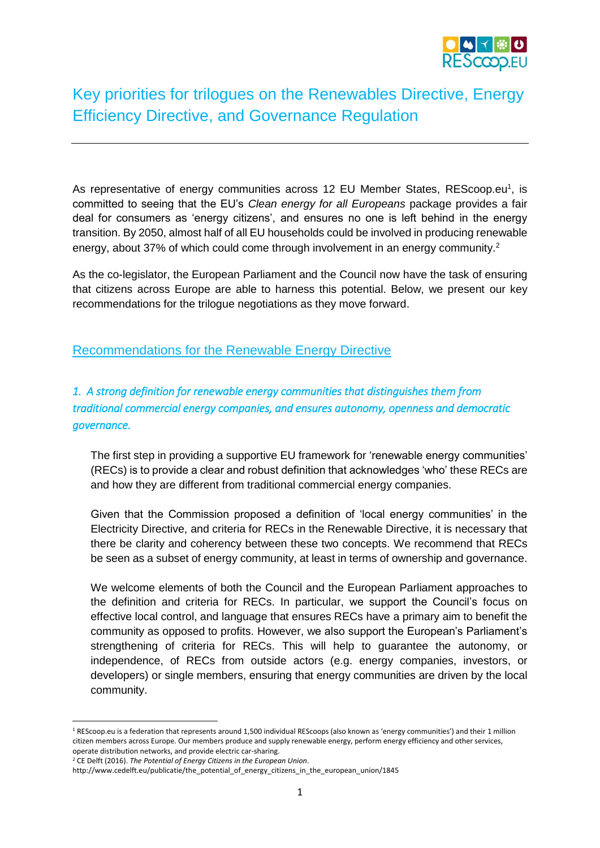

# Key priorities for trilogues on the Renewables Directive, Energy Efficiency Directive, and Governance Regulation

As representative of energy communities across 12 EU Member States, REScoop.eu<sup>1</sup>, is committed to seeing that the EU's *Clean energy for all Europeans* package provides a fair deal for consumers as 'energy citizens', and ensures no one is left behind in the energy transition. By 2050, almost half of all EU households could be involved in producing renewable energy, about 37% of which could come through involvement in an energy community.<sup>2</sup>

As the co-legislator, the European Parliament and the Council now have the task of ensuring that citizens across Europe are able to harness this potential. Below, we present our key recommendations for the trilogue negotiations as they move forward.

#### Recommendations for the Renewable Energy Directive

# *1. A strong definition for renewable energy communities that distinguishes them from traditional commercial energy companies, and ensures autonomy, openness and democratic governance.*

The first step in providing a supportive EU framework for 'renewable energy communities' (RECs) is to provide a clear and robust definition that acknowledges 'who' these RECs are and how they are different from traditional commercial energy companies.

Given that the Commission proposed a definition of 'local energy communities' in the Electricity Directive, and criteria for RECs in the Renewable Directive, it is necessary that there be clarity and coherency between these two concepts. We recommend that RECs be seen as a subset of energy community, at least in terms of ownership and governance.

We welcome elements of both the Council and the European Parliament approaches to the definition and criteria for RECs. In particular, we support the Council's focus on effective local control, and language that ensures RECs have a primary aim to benefit the community as opposed to profits. However, we also support the European's Parliament's strengthening of criteria for RECs. This will help to guarantee the autonomy, or independence, of RECs from outside actors (e.g. energy companies, investors, or developers) or single members, ensuring that energy communities are driven by the local community.

1

<sup>&</sup>lt;sup>1</sup> REScoop.eu is a federation that represents around 1,500 individual REScoops (also known as 'energy communities') and their 1 million citizen members across Europe. Our members produce and supply renewable energy, perform energy efficiency and other services, operate distribution networks, and provide electric car-sharing.

<sup>2</sup> CE Delft (2016). *The Potential of Energy Citizens in the European Union*.

http://www.cedelft.eu/publicatie/the\_potential\_of\_energy\_citizens\_in\_the\_european\_union/1845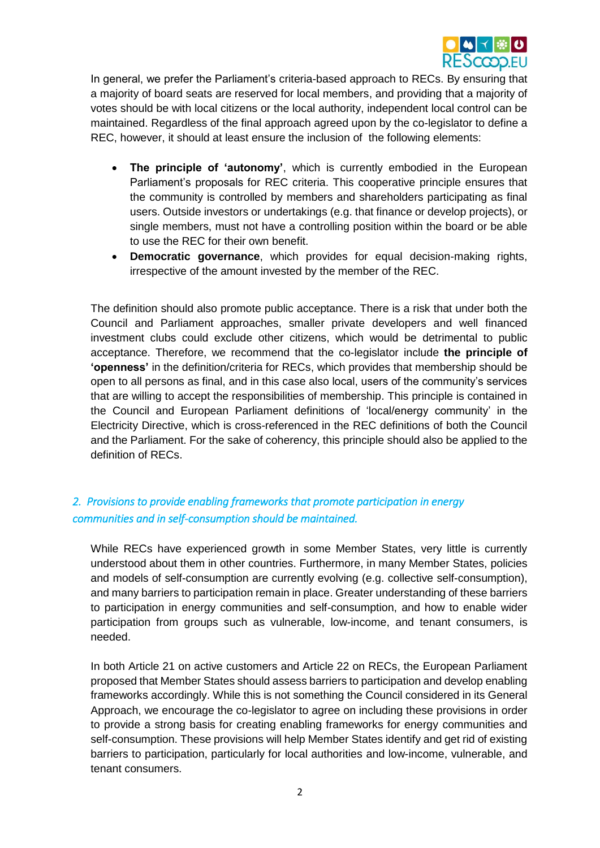

In general, we prefer the Parliament's criteria-based approach to RECs. By ensuring that a majority of board seats are reserved for local members, and providing that a majority of votes should be with local citizens or the local authority, independent local control can be maintained. Regardless of the final approach agreed upon by the co-legislator to define a REC, however, it should at least ensure the inclusion of the following elements:

- **The principle of 'autonomy'**, which is currently embodied in the European Parliament's proposals for REC criteria. This cooperative principle ensures that the community is controlled by members and shareholders participating as final users. Outside investors or undertakings (e.g. that finance or develop projects), or single members, must not have a controlling position within the board or be able to use the REC for their own benefit.
- **Democratic governance**, which provides for equal decision-making rights, irrespective of the amount invested by the member of the REC.

The definition should also promote public acceptance. There is a risk that under both the Council and Parliament approaches, smaller private developers and well financed investment clubs could exclude other citizens, which would be detrimental to public acceptance. Therefore, we recommend that the co-legislator include **the principle of 'openness'** in the definition/criteria for RECs, which provides that membership should be open to all persons as final, and in this case also local, users of the community's services that are willing to accept the responsibilities of membership. This principle is contained in the Council and European Parliament definitions of 'local/energy community' in the Electricity Directive, which is cross-referenced in the REC definitions of both the Council and the Parliament. For the sake of coherency, this principle should also be applied to the definition of RECs.

## *2. Provisions to provide enabling frameworks that promote participation in energy communities and in self-consumption should be maintained.*

While RECs have experienced growth in some Member States, very little is currently understood about them in other countries. Furthermore, in many Member States, policies and models of self-consumption are currently evolving (e.g. collective self-consumption), and many barriers to participation remain in place. Greater understanding of these barriers to participation in energy communities and self-consumption, and how to enable wider participation from groups such as vulnerable, low-income, and tenant consumers, is needed.

In both Article 21 on active customers and Article 22 on RECs, the European Parliament proposed that Member States should assess barriers to participation and develop enabling frameworks accordingly. While this is not something the Council considered in its General Approach, we encourage the co-legislator to agree on including these provisions in order to provide a strong basis for creating enabling frameworks for energy communities and self-consumption. These provisions will help Member States identify and get rid of existing barriers to participation, particularly for local authorities and low-income, vulnerable, and tenant consumers.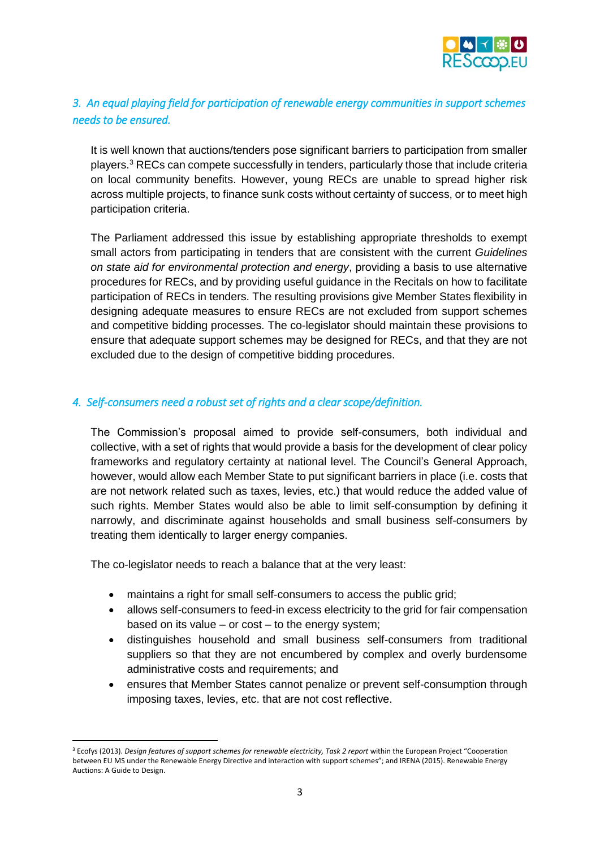

## *3. An equal playing field for participation of renewable energy communities in support schemes needs to be ensured.*

It is well known that auctions/tenders pose significant barriers to participation from smaller players.<sup>3</sup> RECs can compete successfully in tenders, particularly those that include criteria on local community benefits. However, young RECs are unable to spread higher risk across multiple projects, to finance sunk costs without certainty of success, or to meet high participation criteria.

The Parliament addressed this issue by establishing appropriate thresholds to exempt small actors from participating in tenders that are consistent with the current *Guidelines on state aid for environmental protection and energy*, providing a basis to use alternative procedures for RECs, and by providing useful guidance in the Recitals on how to facilitate participation of RECs in tenders. The resulting provisions give Member States flexibility in designing adequate measures to ensure RECs are not excluded from support schemes and competitive bidding processes. The co-legislator should maintain these provisions to ensure that adequate support schemes may be designed for RECs, and that they are not excluded due to the design of competitive bidding procedures.

#### *4. Self-consumers need a robust set of rights and a clear scope/definition.*

The Commission's proposal aimed to provide self-consumers, both individual and collective, with a set of rights that would provide a basis for the development of clear policy frameworks and regulatory certainty at national level. The Council's General Approach, however, would allow each Member State to put significant barriers in place (i.e. costs that are not network related such as taxes, levies, etc.) that would reduce the added value of such rights. Member States would also be able to limit self-consumption by defining it narrowly, and discriminate against households and small business self-consumers by treating them identically to larger energy companies.

The co-legislator needs to reach a balance that at the very least:

- maintains a right for small self-consumers to access the public grid;
- allows self-consumers to feed-in excess electricity to the grid for fair compensation based on its value – or cost – to the energy system;
- distinguishes household and small business self-consumers from traditional suppliers so that they are not encumbered by complex and overly burdensome administrative costs and requirements; and
- ensures that Member States cannot penalize or prevent self-consumption through imposing taxes, levies, etc. that are not cost reflective.

**<sup>.</sup>** <sup>3</sup> Ecofys (2013). *Design features of support schemes for renewable electricity, Task 2 report within the European Project "Cooperation* between EU MS under the Renewable Energy Directive and interaction with support schemes"; and IRENA (2015). Renewable Energy Auctions: A Guide to Design.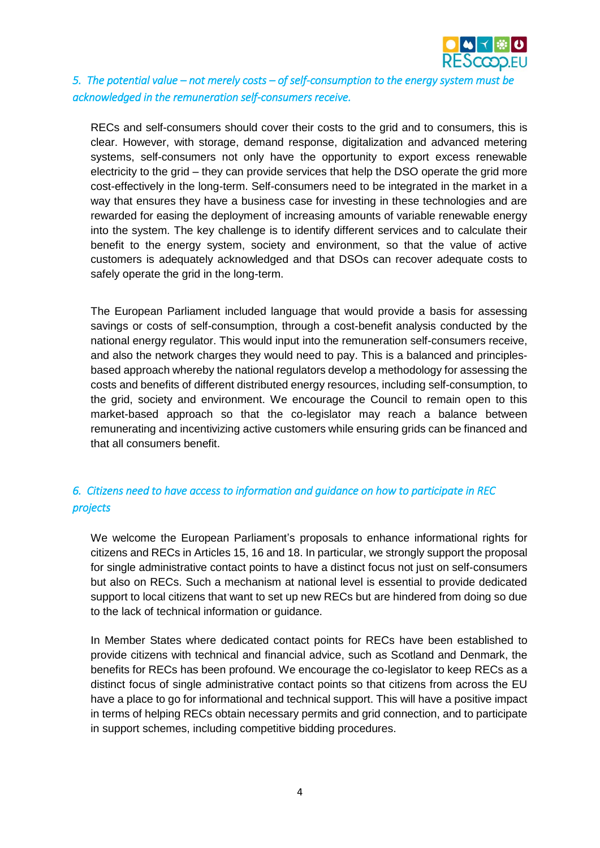

## *5. The potential value – not merely costs – of self-consumption to the energy system must be acknowledged in the remuneration self-consumers receive.*

RECs and self-consumers should cover their costs to the grid and to consumers, this is clear. However, with storage, demand response, digitalization and advanced metering systems, self-consumers not only have the opportunity to export excess renewable electricity to the grid – they can provide services that help the DSO operate the grid more cost-effectively in the long-term. Self-consumers need to be integrated in the market in a way that ensures they have a business case for investing in these technologies and are rewarded for easing the deployment of increasing amounts of variable renewable energy into the system. The key challenge is to identify different services and to calculate their benefit to the energy system, society and environment, so that the value of active customers is adequately acknowledged and that DSOs can recover adequate costs to safely operate the grid in the long-term.

The European Parliament included language that would provide a basis for assessing savings or costs of self-consumption, through a cost-benefit analysis conducted by the national energy regulator. This would input into the remuneration self-consumers receive, and also the network charges they would need to pay. This is a balanced and principlesbased approach whereby the national regulators develop a methodology for assessing the costs and benefits of different distributed energy resources, including self-consumption, to the grid, society and environment. We encourage the Council to remain open to this market-based approach so that the co-legislator may reach a balance between remunerating and incentivizing active customers while ensuring grids can be financed and that all consumers benefit.

## *6. Citizens need to have access to information and guidance on how to participate in REC projects*

We welcome the European Parliament's proposals to enhance informational rights for citizens and RECs in Articles 15, 16 and 18. In particular, we strongly support the proposal for single administrative contact points to have a distinct focus not just on self-consumers but also on RECs. Such a mechanism at national level is essential to provide dedicated support to local citizens that want to set up new RECs but are hindered from doing so due to the lack of technical information or guidance.

In Member States where dedicated contact points for RECs have been established to provide citizens with technical and financial advice, such as Scotland and Denmark, the benefits for RECs has been profound. We encourage the co-legislator to keep RECs as a distinct focus of single administrative contact points so that citizens from across the EU have a place to go for informational and technical support. This will have a positive impact in terms of helping RECs obtain necessary permits and grid connection, and to participate in support schemes, including competitive bidding procedures.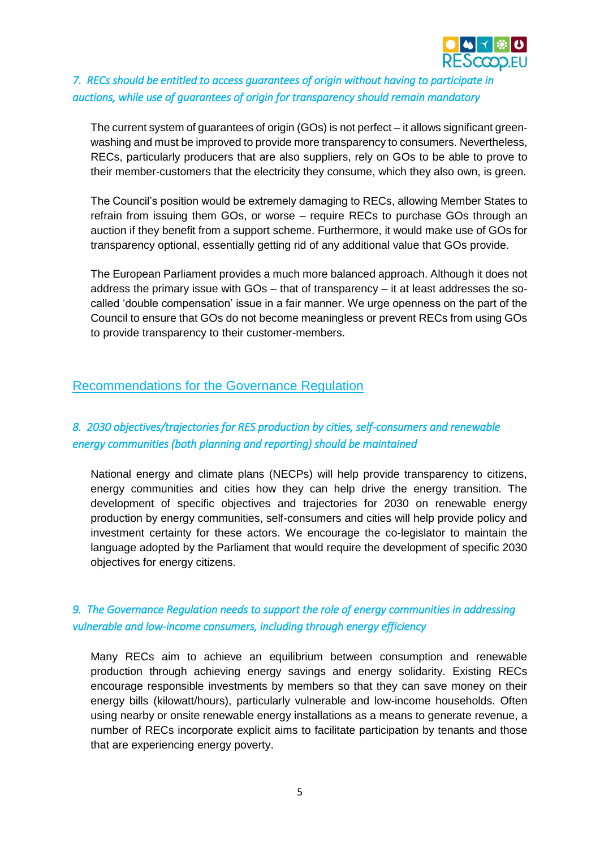

## *7. RECs should be entitled to access guarantees of origin without having to participate in auctions, while use of guarantees of origin for transparency should remain mandatory*

The current system of guarantees of origin (GOs) is not perfect – it allows significant greenwashing and must be improved to provide more transparency to consumers. Nevertheless, RECs, particularly producers that are also suppliers, rely on GOs to be able to prove to their member-customers that the electricity they consume, which they also own, is green.

The Council's position would be extremely damaging to RECs, allowing Member States to refrain from issuing them GOs, or worse – require RECs to purchase GOs through an auction if they benefit from a support scheme. Furthermore, it would make use of GOs for transparency optional, essentially getting rid of any additional value that GOs provide.

The European Parliament provides a much more balanced approach. Although it does not address the primary issue with GOs – that of transparency – it at least addresses the socalled 'double compensation' issue in a fair manner. We urge openness on the part of the Council to ensure that GOs do not become meaningless or prevent RECs from using GOs to provide transparency to their customer-members.

## Recommendations for the Governance Regulation

## *8. 2030 objectives/trajectories for RES production by cities, self-consumers and renewable energy communities (both planning and reporting) should be maintained*

National energy and climate plans (NECPs) will help provide transparency to citizens, energy communities and cities how they can help drive the energy transition. The development of specific objectives and trajectories for 2030 on renewable energy production by energy communities, self-consumers and cities will help provide policy and investment certainty for these actors. We encourage the co-legislator to maintain the language adopted by the Parliament that would require the development of specific 2030 objectives for energy citizens.

## *9. The Governance Regulation needs to support the role of energy communities in addressing vulnerable and low-income consumers, including through energy efficiency*

Many RECs aim to achieve an equilibrium between consumption and renewable production through achieving energy savings and energy solidarity. Existing RECs encourage responsible investments by members so that they can save money on their energy bills (kilowatt/hours), particularly vulnerable and low-income households. Often using nearby or onsite renewable energy installations as a means to generate revenue, a number of RECs incorporate explicit aims to facilitate participation by tenants and those that are experiencing energy poverty.